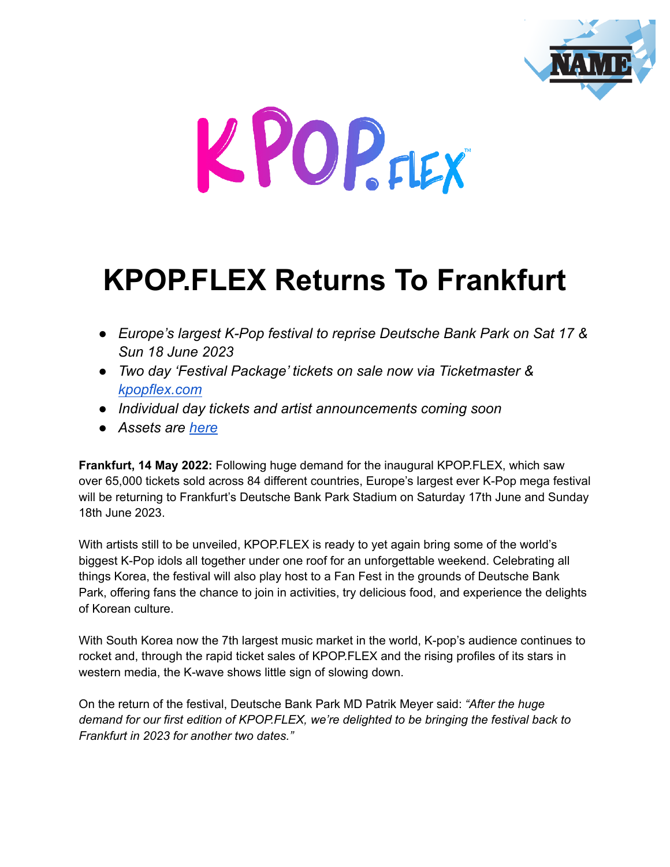



# **KPOP.FLEX Returns To Frankfurt**

- *Europe's largest K-Pop festival to reprise Deutsche Bank Park on Sat 17 & Sun 18 June 2023*
- *Two day 'Festival Package' tickets on sale now via Ticketmaster & [kpopflex.com](https://kpopflex.com/)*
- *Individual day tickets and artist announcements coming soon*
- *Assets are [here](https://drive.google.com/drive/folders/1xP52t1hNrJ1BhcS49wdPHlzpRp4uEYZY?usp=sharing)*

**Frankfurt, 14 May 2022:** Following huge demand for the inaugural KPOP.FLEX, which saw over 65,000 tickets sold across 84 different countries, Europe's largest ever K-Pop mega festival will be returning to Frankfurt's Deutsche Bank Park Stadium on Saturday 17th June and Sunday 18th June 2023.

With artists still to be unveiled, KPOP.FLEX is ready to yet again bring some of the world's biggest K-Pop idols all together under one roof for an unforgettable weekend. Celebrating all things Korea, the festival will also play host to a Fan Fest in the grounds of Deutsche Bank Park, offering fans the chance to join in activities, try delicious food, and experience the delights of Korean culture.

With South Korea now the 7th largest music market in the world, K-pop's audience continues to rocket and, through the rapid ticket sales of KPOP.FLEX and the rising profiles of its stars in western media, the K-wave shows little sign of slowing down.

On the return of the festival, Deutsche Bank Park MD Patrik Meyer said: *"After the huge demand for our first edition of KPOP.FLEX, we're delighted to be bringing the festival back to Frankfurt in 2023 for another two dates."*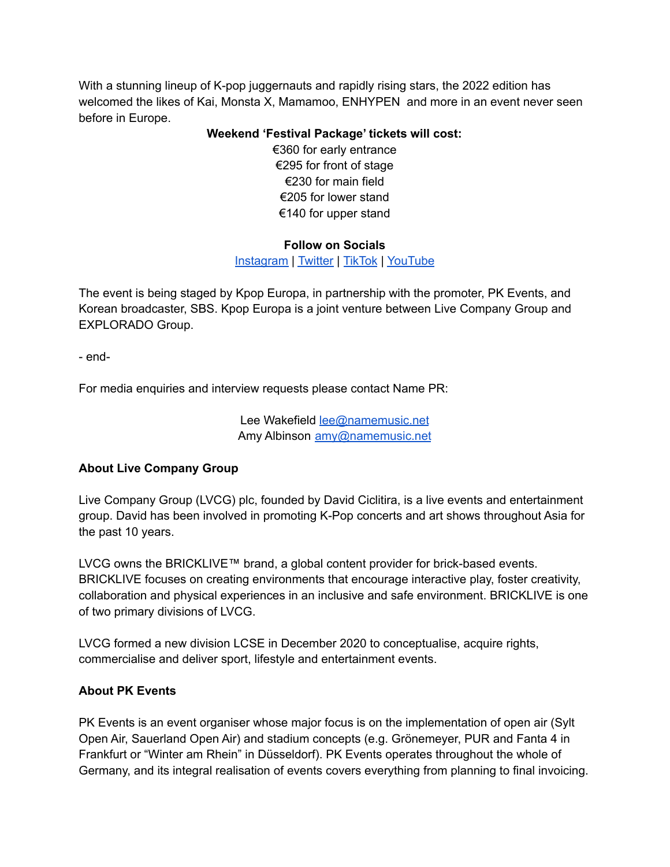With a stunning lineup of K-pop juggernauts and rapidly rising stars, the 2022 edition has welcomed the likes of Kai, Monsta X, Mamamoo, ENHYPEN and more in an event never seen before in Europe.

### **Weekend 'Festival Package' tickets will cost:**

€360 for early entrance €295 for front of stage €230 for main field €205 for lower stand €140 for upper stand

## **Follow on Socials**

[Instagram](https://www.instagram.com/kpop.flex_/?hl=en) | [Twitter](https://twitter.com/Kpop_flex) | [TikTok](https://www.tiktok.com/@Kpop.flex_) | [YouTube](https://www.youtube.com/channel/UCIr35JNWYIGe3jYN7Ub3jfA)

The event is being staged by Kpop Europa, in partnership with the promoter, PK Events, and Korean broadcaster, SBS. Kpop Europa is a joint venture between Live Company Group and EXPLORADO Group.

- end-

For media enquiries and interview requests please contact Name PR:

Lee Wakefield [lee@namemusic.net](mailto:lee@namemusic.net) Amy Albinson [amy@namemusic.net](mailto:amy@namemusic.net)

## **About Live Company Group**

Live Company Group (LVCG) plc, founded by David Ciclitira, is a live events and entertainment group. David has been involved in promoting K-Pop concerts and art shows throughout Asia for the past 10 years.

LVCG owns the BRICKLIVE™ brand, a global content provider for brick-based events. BRICKLIVE focuses on creating environments that encourage interactive play, foster creativity, collaboration and physical experiences in an inclusive and safe environment. BRICKLIVE is one of two primary divisions of LVCG.

LVCG formed a new division LCSE in December 2020 to conceptualise, acquire rights, commercialise and deliver sport, lifestyle and entertainment events.

## **About PK Events**

PK Events is an event organiser whose major focus is on the implementation of open air (Sylt Open Air, Sauerland Open Air) and stadium concepts (e.g. Grönemeyer, PUR and Fanta 4 in Frankfurt or "Winter am Rhein" in Düsseldorf). PK Events operates throughout the whole of Germany, and its integral realisation of events covers everything from planning to final invoicing.